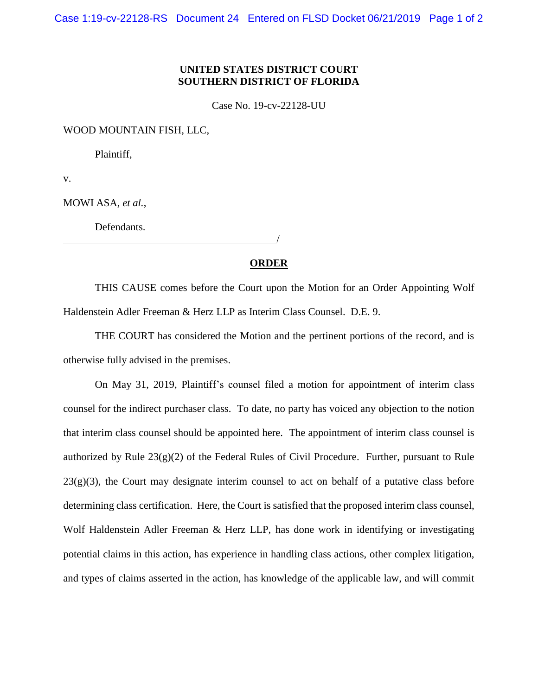## **UNITED STATES DISTRICT COURT SOUTHERN DISTRICT OF FLORIDA**

Case No. 19-cv-22128-UU

WOOD MOUNTAIN FISH, LLC,

Plaintiff,

v.

MOWI ASA, *et al.*,

Defendants.

<u>/</u>

## **ORDER**

THIS CAUSE comes before the Court upon the Motion for an Order Appointing Wolf Haldenstein Adler Freeman & Herz LLP as Interim Class Counsel. D.E. 9.

THE COURT has considered the Motion and the pertinent portions of the record, and is otherwise fully advised in the premises.

On May 31, 2019, Plaintiff's counsel filed a motion for appointment of interim class counsel for the indirect purchaser class. To date, no party has voiced any objection to the notion that interim class counsel should be appointed here. The appointment of interim class counsel is authorized by Rule  $23(g)(2)$  of the Federal Rules of Civil Procedure. Further, pursuant to Rule  $23(g)(3)$ , the Court may designate interim counsel to act on behalf of a putative class before determining class certification. Here, the Court is satisfied that the proposed interim class counsel, Wolf Haldenstein Adler Freeman & Herz LLP, has done work in identifying or investigating potential claims in this action, has experience in handling class actions, other complex litigation, and types of claims asserted in the action, has knowledge of the applicable law, and will commit